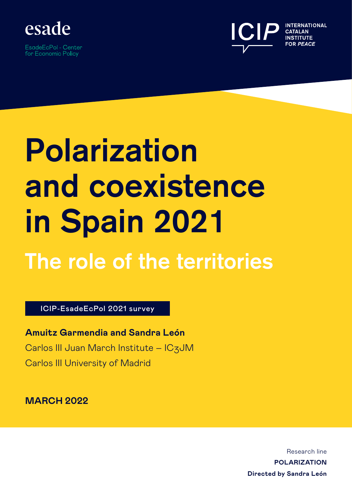

EsadeEcPol - Center for Economic Policy



# **Polarization and coexistence in Spain 2021**

## **The role of the territories**

ICIP-EsadeEcPol 2021 survey

**Amuitz Garmendia and Sandra León** Carlos III Juan March Institute – IC3JM Carlos III University of Madrid

**MARCH 2022**

Research line **POLARIZATION Directed by Sandra León**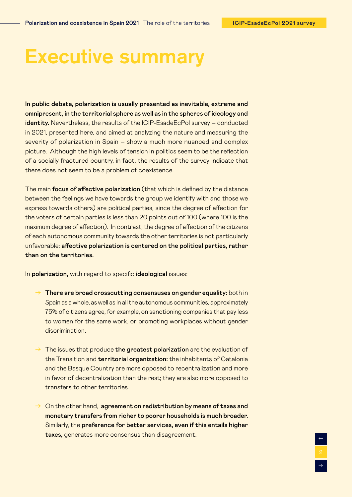$\rightarrow$ 

←

### **Executive summary**

In public debate, polarization is usually presented as inevitable, extreme and omnipresent, in the territorial sphere as well as in the spheres of ideology and identity. Nevertheless, the results of the ICIP-EsadeEcPol survey – conducted in 2021, presented here, and aimed at analyzing the nature and measuring the severity of polarization in Spain – show a much more nuanced and complex picture. Although the high levels of tension in politics seem to be the reflection of a socially fractured country, in fact, the results of the survey indicate that there does not seem to be a problem of coexistence.

The main focus of affective polarization (that which is defined by the distance between the feelings we have towards the group we identify with and those we express towards others) are political parties, since the degree of affection for the voters of certain parties is less than 20 points out of 100 (where 100 is the maximum degree of affection). In contrast, the degree of affection of the citizens of each autonomous community towards the other territories is not particularly unfavorable: affective polarization is centered on the political parties, rather than on the territories.

In polarization, with regard to specific ideological issues:

- $\rightarrow$  There are broad crosscutting consensuses on gender equality: both in Spain as a whole, as well as in all the autonomous communities, approximately 75% of citizens agree, for example, on sanctioning companies that pay less to women for the same work, or promoting workplaces without gender discrimination.
- $\rightarrow$  The issues that produce the greatest polarization are the evaluation of the Transition and territorial organization: the inhabitants of Catalonia and the Basque Country are more opposed to recentralization and more in favor of decentralization than the rest; they are also more opposed to transfers to other territories.
- $\rightarrow$  On the other hand, agreement on redistribution by means of taxes and monetary transfers from richer to poorer households is much broader. Similarly, the preference for better services, even if this entails higher taxes, generates more consensus than disagreement.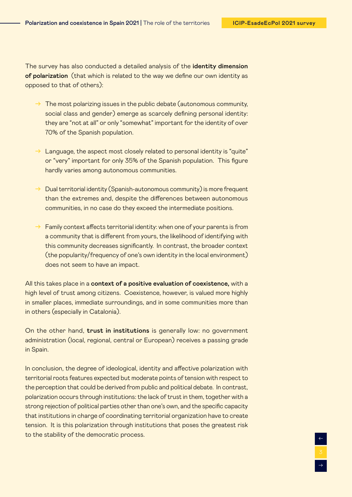$\rightarrow$ 

←

The survey has also conducted a detailed analysis of the identity dimension of polarization (that which is related to the way we define our own identity as opposed to that of others):

- $\rightarrow$  The most polarizing issues in the public debate (autonomous community, social class and gender) emerge as scarcely defining personal identity: they are "not at all" or only "somewhat" important for the identity of over 70% of the Spanish population.
- $\rightarrow$  Language, the aspect most closely related to personal identity is "quite" or "very" important for only 35% of the Spanish population. This figure hardly varies among autonomous communities.
- $\rightarrow$  Dual territorial identity (Spanish-autonomous community) is more frequent than the extremes and, despite the differences between autonomous communities, in no case do they exceed the intermediate positions.
- $\rightarrow$  Family context affects territorial identity: when one of your parents is from a community that is different from yours, the likelihood of identifying with this community decreases significantly. In contrast, the broader context (the popularity/frequency of one's own identity in the local environment) does not seem to have an impact.

All this takes place in a context of a positive evaluation of coexistence, with a high level of trust among citizens. Coexistence, however, is valued more highly in smaller places, immediate surroundings, and in some communities more than in others (especially in Catalonia).

On the other hand, trust in institutions is generally low: no government administration (local, regional, central or European) receives a passing grade in Spain.

In conclusion, the degree of ideological, identity and affective polarization with territorial roots features expected but moderate points of tension with respect to the perception that could be derived from public and political debate. In contrast, polarization occurs through institutions: the lack of trust in them, together with a strong rejection of political parties other than one's own, and the specific capacity that institutions in charge of coordinating territorial organization have to create tension. It is this polarization through institutions that poses the greatest risk to the stability of the democratic process.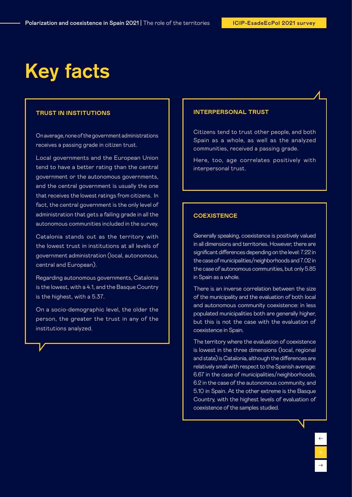### **Key facts**

#### **TRUST IN INSTITUTIONS**

On average, none of the government administrations receives a passing grade in citizen trust.

Local governments and the European Union tend to have a better rating than the central government or the autonomous governments, and the central government is usually the one that receives the lowest ratings from citizens. In fact, the central government is the only level of administration that gets a failing grade in all the autonomous communities included in the survey.

Catalonia stands out as the territory with the lowest trust in institutions at all levels of government administration (local, autonomous, central and European).

Regarding autonomous governments, Catalonia is the lowest, with a 4.1, and the Basque Country is the highest, with a 5.37.

On a socio-demographic level, the older the person, the greater the trust in any of the institutions analyzed.

#### **INTERPERSONAL TRUST**

Citizens tend to trust other people, and both Spain as a whole, as well as the analyzed communities, received a passing grade.

Here, too, age correlates positively with interpersonal trust.

#### **COEXISTENCE**

Generally speaking, coexistence is positively valued in all dimensions and territories. However, there are significant differences depending on the level: 7.22 in the case of municipalities/neighborhoods and 7.02 in the case of autonomous communities, but only 5.85 in Spain as a whole.

There is an inverse correlation between the size of the municipality and the evaluation of both local and autonomous community coexistence: in less populated municipalities both are generally higher, but this is not the case with the evaluation of coexistence in Spain.

The territory where the evaluation of coexistence is lowest in the three dimensions (local, regional and state) is Catalonia, although the differences are relatively small with respect to the Spanish average: 6.67 in the case of municipalities/neighborhoods, 6.2 in the case of the autonomous community, and 5.10 in Spain. At the other extreme is the Basque Country, with the highest levels of evaluation of coexistence of the samples studied.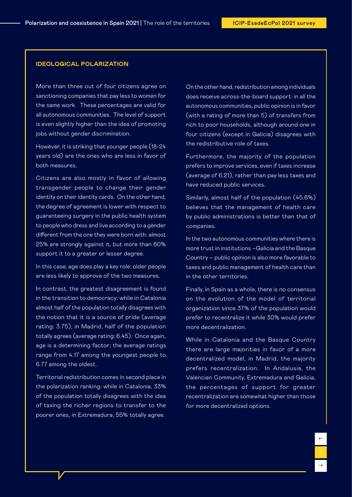#### **IDEOLOGICAL POLARIZATION**

More than three out of four citizens agree on sanctioning companies that pay less to women for the same work. These percentages are valid for all autonomous communities. The level of support is even slightly higher than the idea of promoting jobs without gender discrimination.

However, it is striking that younger people (18-24 years old) are the ones who are less in favor of both measures.

Citizens are also mostly in favor of allowing transgender people to change their gender identity on their identity cards. On the other hand, the degree of agreement is lower with respect to guaranteeing surgery in the public health system to people who dress and live according to a gender different from the one they were born with: almost 25% are strongly against it, but more than 60% support it to a greater or lesser degree.

In this case, age does play a key role: older people are less likely to approve of the two measures.

In contrast, the greatest disagreement is found in the transition to democracy: while in Catalonia almost half of the population totally disagrees with the notion that it is a source of pride (average rating: 3.75), in Madrid, half of the population totally agrees (average rating: 6.45). Once again, age is a determining factor: the average ratings range from 4.17 among the youngest people to 6.77 among the oldest.

Territorial redistribution comes in second place in the polarization ranking: while in Catalonia, 33% of the population totally disagrees with the idea of taxing the richer regions to transfer to the poorer ones, in Extremadura, 55% totally agree.

On the other hand, redistribution among individuals does receive across-the-board support: in all the autonomous communities, public opinion is in favor (with a rating of more than 5) of transfers from rich to poor households, although around one in four citizens (except in Galicia) disagrees with the redistributive role of taxes.

Furthermore, the majority of the population prefers to improve services, even if taxes increase (average of 6.21), rather than pay less taxes and have reduced public services.

Similarly, almost half of the population (45.6%) believes that the management of health care by public administrations is better than that of companies.

In the two autonomous communities where there is more trust in institutions –Galicia and the Basque Country – public opinion is also more favorable to taxes and public management of health care than in the other territories.

Finally, in Spain as a whole, there is no consensus on the evolution of the model of territorial organization since 37% of the population would prefer to recentralize it while 30% would prefer more decentralization.

While in Catalonia and the Basque Country there are large majorities in favor of a more decentralized model, in Madrid, the majority prefers recentralization. In Andalusia, the Valencian Community, Extremadura and Galicia, the percentages of support for greater recentralization are somewhat higher than those for more decentralized options.

 $\rightarrow$ 

←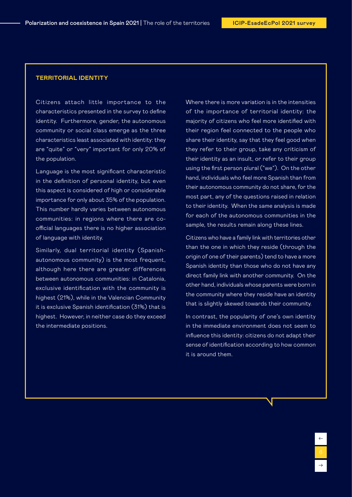#### **TERRITORIAL IDENTITY**

Citizens attach little importance to the characteristics presented in the survey to define identity. Furthermore, gender, the autonomous community or social class emerge as the three characteristics least associated with identity: they are "quite" or "very" important for only 20% of the population.

Language is the most significant characteristic in the definition of personal identity, but even this aspect is considered of high or considerable importance for only about 35% of the population. This number hardly varies between autonomous communities: in regions where there are coofficial languages there is no higher association of language with identity.

Similarly, dual territorial identity (Spanishautonomous community) is the most frequent, although here there are greater differences between autonomous communities: in Catalonia, exclusive identification with the community is highest (21%), while in the Valencian Community it is exclusive Spanish identification (31%) that is highest. However, in neither case do they exceed the intermediate positions.

Where there is more variation is in the intensities of the importance of territorial identity: the majority of citizens who feel more identified with their region feel connected to the people who share their identity, say that they feel good when they refer to their group, take any criticism of their identity as an insult, or refer to their group using the first person plural ("we"). On the other hand, individuals who feel more Spanish than from their autonomous community do not share, for the most part, any of the questions raised in relation to their identity. When the same analysis is made for each of the autonomous communities in the sample, the results remain along these lines.

Citizens who have a family link with territories other than the one in which they reside (through the origin of one of their parents) tend to have a more Spanish identity than those who do not have any direct family link with another community. On the other hand, individuals whose parents were born in the community where they reside have an identity that is slightly skewed towards their community.

In contrast, the popularity of one's own identity in the immediate environment does not seem to influence this identity: citizens do not adapt their sense of identification according to how common it is around them.

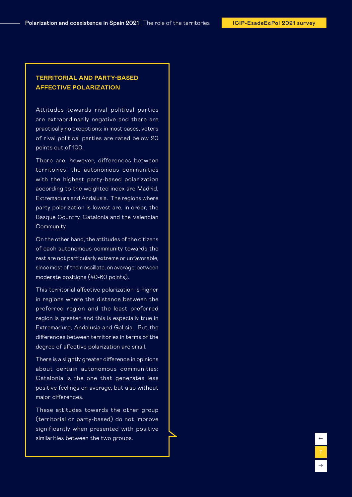←
←  $\begin{array}{c} \uparrow \\ \hline \downarrow \\ \hline \end{array}$ 

#### **TERRITORIAL AND PARTY-BASED AFFECTIVE POLARIZATION**

Attitudes towards rival political parties are extraordinarily negative and there are practically no exceptions: in most cases, voters of rival political parties are rated below 20 points out of 100.

There are, however, differences between territories: the autonomous communities with the highest party-based polarization according to the weighted index are Madrid, Extremadura and Andalusia. The regions where party polarization is lowest are, in order, the Basque Country, Catalonia and the Valencian Community.

On the other hand, the attitudes of the citizens of each autonomous community towards the rest are not particularly extreme or unfavorable, since most of them oscillate, on average, between moderate positions (40-60 points).

This territorial affective polarization is higher in regions where the distance between the preferred region and the least preferred region is greater, and this is especially true in Extremadura, Andalusia and Galicia. But the differences between territories in terms of the degree of affective polarization are small.

There is a slightly greater difference in opinions about certain autonomous communities: Catalonia is the one that generates less positive feelings on average, but also without major differences.

These attitudes towards the other group (territorial or party-based) do not improve significantly when presented with positive similarities between the two groups.